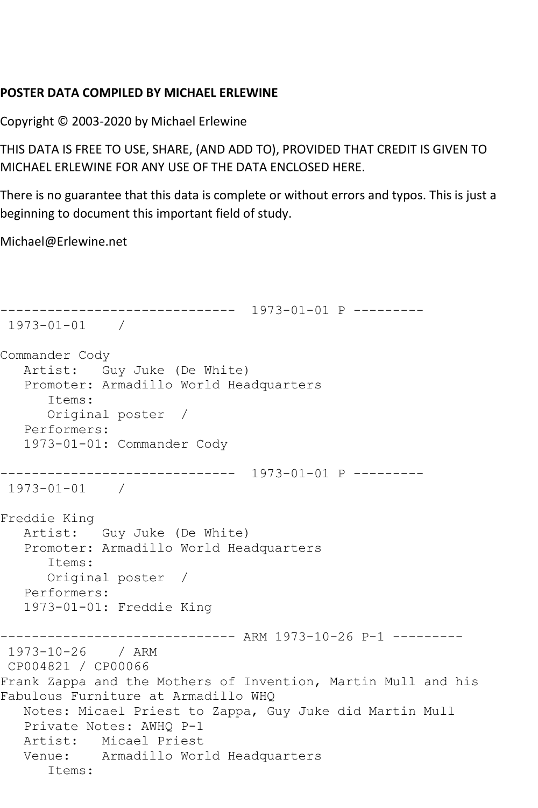## **POSTER DATA COMPILED BY MICHAEL ERLEWINE**

Copyright © 2003-2020 by Michael Erlewine

THIS DATA IS FREE TO USE, SHARE, (AND ADD TO), PROVIDED THAT CREDIT IS GIVEN TO MICHAEL ERLEWINE FOR ANY USE OF THE DATA ENCLOSED HERE.

There is no guarantee that this data is complete or without errors and typos. This is just a beginning to document this important field of study.

Michael@Erlewine.net

```
------------------------------ 1973-01-01 P ---------
1973-01-01 / 
Commander Cody
   Artist: Guy Juke (De White)
   Promoter: Armadillo World Headquarters
      Items:
      Original poster / 
   Performers:
   1973-01-01: Commander Cody
------------------------------ 1973-01-01 P ---------
1973-01-01 / 
Freddie King
   Artist: Guy Juke (De White)
   Promoter: Armadillo World Headquarters
      Items:
      Original poster / 
   Performers:
   1973-01-01: Freddie King
------------------------------ ARM 1973-10-26 P-1 ---------
1973-10-26 / ARM 
CP004821 / CP00066
Frank Zappa and the Mothers of Invention, Martin Mull and his 
Fabulous Furniture at Armadillo WHQ
   Notes: Micael Priest to Zappa, Guy Juke did Martin Mull
   Private Notes: AWHQ P-1
   Artist: Micael Priest
   Venue: Armadillo World Headquarters
      Items:
```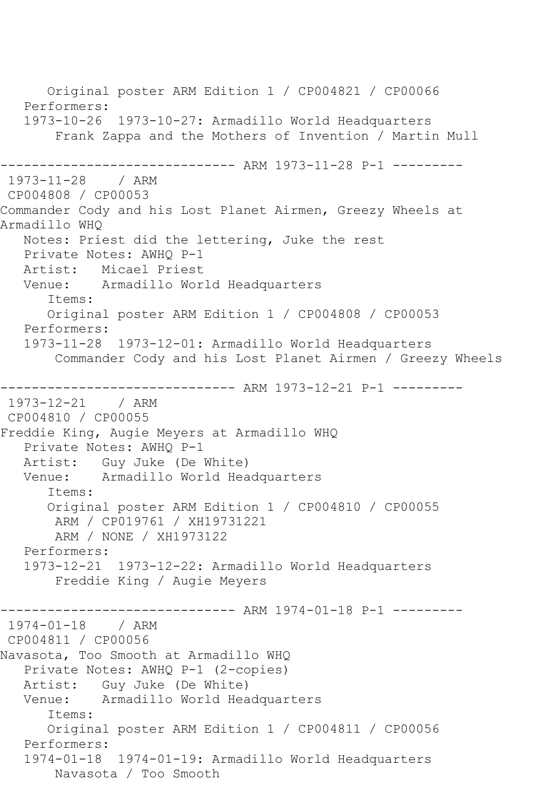Original poster ARM Edition 1 / CP004821 / CP00066 Performers: 1973-10-26 1973-10-27: Armadillo World Headquarters Frank Zappa and the Mothers of Invention / Martin Mull ------------------------------ ARM 1973-11-28 P-1 --------- 1973-11-28 / ARM CP004808 / CP00053 Commander Cody and his Lost Planet Airmen, Greezy Wheels at Armadillo WHQ Notes: Priest did the lettering, Juke the rest Private Notes: AWHQ P-1 Artist: Micael Priest Venue: Armadillo World Headquarters Items: Original poster ARM Edition 1 / CP004808 / CP00053 Performers: 1973-11-28 1973-12-01: Armadillo World Headquarters Commander Cody and his Lost Planet Airmen / Greezy Wheels ------------------------------ ARM 1973-12-21 P-1 --------- 1973-12-21 / ARM CP004810 / CP00055 Freddie King, Augie Meyers at Armadillo WHQ Private Notes: AWHQ P-1 Artist: Guy Juke (De White) Venue: Armadillo World Headquarters Items: Original poster ARM Edition 1 / CP004810 / CP00055 ARM / CP019761 / XH19731221 ARM / NONE / XH1973122 Performers: 1973-12-21 1973-12-22: Armadillo World Headquarters Freddie King / Augie Meyers ------------------------------ ARM 1974-01-18 P-1 --------- 1974-01-18 / ARM CP004811 / CP00056 Navasota, Too Smooth at Armadillo WHQ Private Notes: AWHQ P-1 (2-copies) Artist: Guy Juke (De White)<br>Venue: Armadillo World Hea Armadillo World Headquarters Items: Original poster ARM Edition 1 / CP004811 / CP00056 Performers: 1974-01-18 1974-01-19: Armadillo World Headquarters Navasota / Too Smooth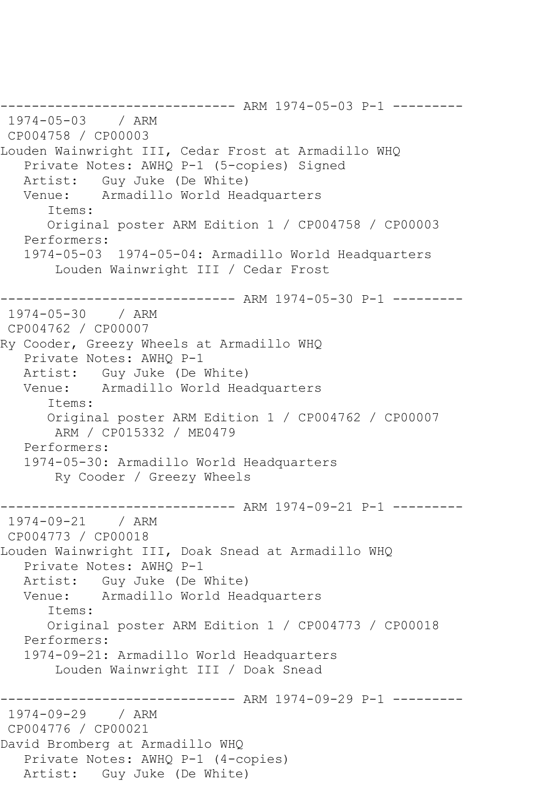------------------------------ ARM 1974-05-03 P-1 --------- 1974-05-03 / ARM CP004758 / CP00003 Louden Wainwright III, Cedar Frost at Armadillo WHQ Private Notes: AWHQ P-1 (5-copies) Signed Artist: Guy Juke (De White) Venue: Armadillo World Headquarters Items: Original poster ARM Edition 1 / CP004758 / CP00003 Performers: 1974-05-03 1974-05-04: Armadillo World Headquarters Louden Wainwright III / Cedar Frost ------------------------------ ARM 1974-05-30 P-1 --------- 1974-05-30 / ARM CP004762 / CP00007 Ry Cooder, Greezy Wheels at Armadillo WHQ Private Notes: AWHQ P-1 Artist: Guy Juke (De White) Venue: Armadillo World Headquarters Items: Original poster ARM Edition 1 / CP004762 / CP00007 ARM / CP015332 / ME0479 Performers: 1974-05-30: Armadillo World Headquarters Ry Cooder / Greezy Wheels ----------- ARM 1974-09-21 P-1 ---------1974-09-21 / ARM CP004773 / CP00018 Louden Wainwright III, Doak Snead at Armadillo WHQ Private Notes: AWHQ P-1 Artist: Guy Juke (De White) Venue: Armadillo World Headquarters Items: Original poster ARM Edition 1 / CP004773 / CP00018 Performers: 1974-09-21: Armadillo World Headquarters Louden Wainwright III / Doak Snead ------------------------------ ARM 1974-09-29 P-1 --------- 1974-09-29 / ARM CP004776 / CP00021 David Bromberg at Armadillo WHQ Private Notes: AWHQ P-1 (4-copies) Artist: Guy Juke (De White)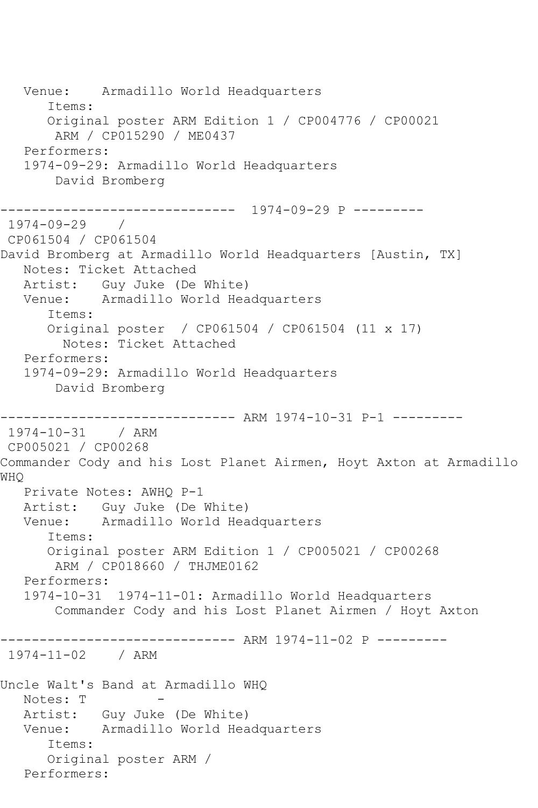Venue: Armadillo World Headquarters Items: Original poster ARM Edition 1 / CP004776 / CP00021 ARM / CP015290 / ME0437 Performers: 1974-09-29: Armadillo World Headquarters David Bromberg ------------------------------ 1974-09-29 P --------- 1974-09-29 / CP061504 / CP061504 David Bromberg at Armadillo World Headquarters [Austin, TX] Notes: Ticket Attached Artist: Guy Juke (De White) Venue: Armadillo World Headquarters Items: Original poster / CP061504 / CP061504 (11 x 17) Notes: Ticket Attached Performers: 1974-09-29: Armadillo World Headquarters David Bromberg ------------------------------ ARM 1974-10-31 P-1 --------- 1974-10-31 / ARM CP005021 / CP00268 Commander Cody and his Lost Planet Airmen, Hoyt Axton at Armadillo WHQ Private Notes: AWHQ P-1 Artist: Guy Juke (De White) Venue: Armadillo World Headquarters Items: Original poster ARM Edition 1 / CP005021 / CP00268 ARM / CP018660 / THJME0162 Performers: 1974-10-31 1974-11-01: Armadillo World Headquarters Commander Cody and his Lost Planet Airmen / Hoyt Axton ------------------------------ ARM 1974-11-02 P --------- 1974-11-02 / ARM Uncle Walt's Band at Armadillo WHQ Notes: T Artist: Guy Juke (De White) Venue: Armadillo World Headquarters Items: Original poster ARM / Performers: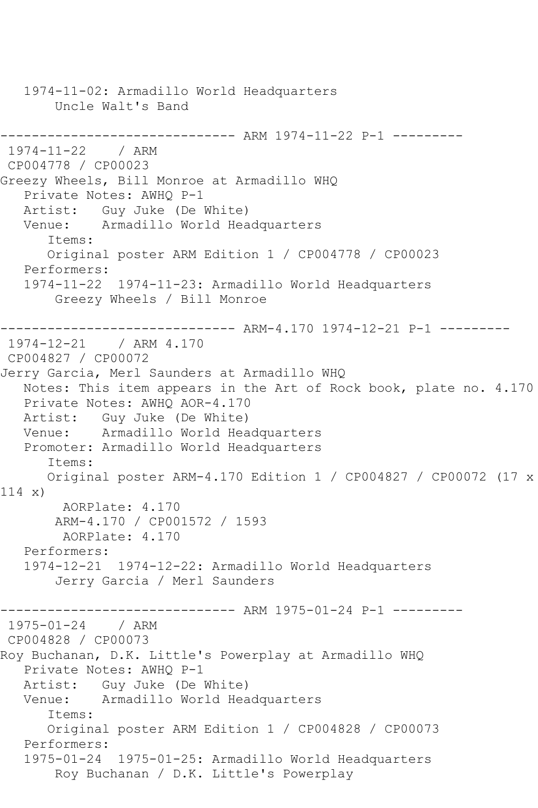1974-11-02: Armadillo World Headquarters Uncle Walt's Band ------------------------------ ARM 1974-11-22 P-1 --------- 1974-11-22 / ARM CP004778 / CP00023 Greezy Wheels, Bill Monroe at Armadillo WHQ Private Notes: AWHQ P-1 Artist: Guy Juke (De White) Venue: Armadillo World Headquarters Items: Original poster ARM Edition 1 / CP004778 / CP00023 Performers: 1974-11-22 1974-11-23: Armadillo World Headquarters Greezy Wheels / Bill Monroe ------------------------------ ARM-4.170 1974-12-21 P-1 --------- 1974-12-21 CP004827 / CP00072 Jerry Garcia, Merl Saunders at Armadillo WHQ Notes: This item appears in the Art of Rock book, plate no. 4.170 Private Notes: AWHQ AOR-4.170 Artist: Guy Juke (De White) Venue: Armadillo World Headquarters Promoter: Armadillo World Headquarters Items: Original poster ARM-4.170 Edition 1 / CP004827 / CP00072 (17 x 114 x) AORPlate: 4.170 ARM-4.170 / CP001572 / 1593 AORPlate: 4.170 Performers: 1974-12-21 1974-12-22: Armadillo World Headquarters Jerry Garcia / Merl Saunders ------------------------------ ARM 1975-01-24 P-1 --------- 1975-01-24 / ARM CP004828 / CP00073 Roy Buchanan, D.K. Little's Powerplay at Armadillo WHQ Private Notes: AWHQ P-1 Artist: Guy Juke (De White) Venue: Armadillo World Headquarters Items: Original poster ARM Edition 1 / CP004828 / CP00073 Performers: 1975-01-24 1975-01-25: Armadillo World Headquarters Roy Buchanan / D.K. Little's Powerplay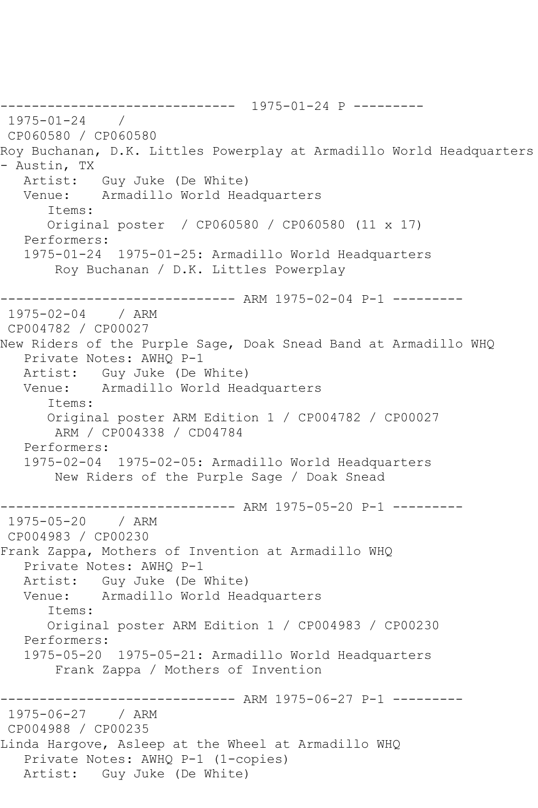------------------------------ 1975-01-24 P --------- 1975-01-24 / CP060580 / CP060580 Roy Buchanan, D.K. Littles Powerplay at Armadillo World Headquarters - Austin, TX Artist: Guy Juke (De White) Venue: Armadillo World Headquarters Items: Original poster / CP060580 / CP060580 (11 x 17) Performers: 1975-01-24 1975-01-25: Armadillo World Headquarters Roy Buchanan / D.K. Littles Powerplay ------------------------------ ARM 1975-02-04 P-1 --------- 1975-02-04 / ARM CP004782 / CP00027 New Riders of the Purple Sage, Doak Snead Band at Armadillo WHQ Private Notes: AWHQ P-1 Artist: Guy Juke (De White) Venue: Armadillo World Headquarters Items: Original poster ARM Edition 1 / CP004782 / CP00027 ARM / CP004338 / CD04784 Performers: 1975-02-04 1975-02-05: Armadillo World Headquarters New Riders of the Purple Sage / Doak Snead -------------- ARM 1975-05-20 P-1 ---------1975-05-20 / ARM CP004983 / CP00230 Frank Zappa, Mothers of Invention at Armadillo WHQ Private Notes: AWHQ P-1 Artist: Guy Juke (De White) Venue: Armadillo World Headquarters Items: Original poster ARM Edition 1 / CP004983 / CP00230 Performers: 1975-05-20 1975-05-21: Armadillo World Headquarters Frank Zappa / Mothers of Invention ------------------------------ ARM 1975-06-27 P-1 --------- 1975-06-27 / ARM CP004988 / CP00235 Linda Hargove, Asleep at the Wheel at Armadillo WHQ Private Notes: AWHQ P-1 (1-copies) Artist: Guy Juke (De White)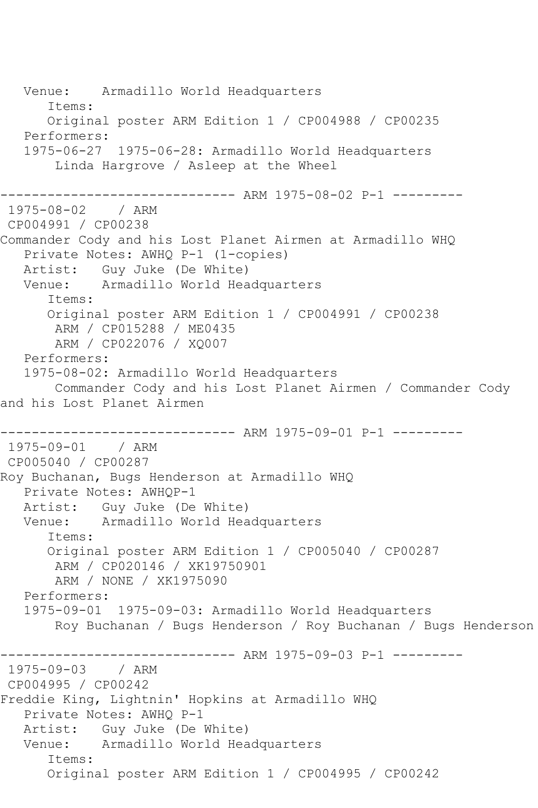Venue: Armadillo World Headquarters Items: Original poster ARM Edition 1 / CP004988 / CP00235 Performers: 1975-06-27 1975-06-28: Armadillo World Headquarters Linda Hargrove / Asleep at the Wheel ------------------------------ ARM 1975-08-02 P-1 --------- 1975-08-02 / ARM CP004991 / CP00238 Commander Cody and his Lost Planet Airmen at Armadillo WHQ Private Notes: AWHQ P-1 (1-copies) Artist: Guy Juke (De White) Venue: Armadillo World Headquarters Items: Original poster ARM Edition 1 / CP004991 / CP00238 ARM / CP015288 / ME0435 ARM / CP022076 / XQ007 Performers: 1975-08-02: Armadillo World Headquarters Commander Cody and his Lost Planet Airmen / Commander Cody and his Lost Planet Airmen ------------------------------ ARM 1975-09-01 P-1 --------- 1975-09-01 / ARM CP005040 / CP00287 Roy Buchanan, Bugs Henderson at Armadillo WHQ Private Notes: AWHQP-1 Artist: Guy Juke (De White) Venue: Armadillo World Headquarters Items: Original poster ARM Edition 1 / CP005040 / CP00287 ARM / CP020146 / XK19750901 ARM / NONE / XK1975090 Performers: 1975-09-01 1975-09-03: Armadillo World Headquarters Roy Buchanan / Bugs Henderson / Roy Buchanan / Bugs Henderson ------------------------------ ARM 1975-09-03 P-1 --------- 1975-09-03 / ARM CP004995 / CP00242 Freddie King, Lightnin' Hopkins at Armadillo WHQ Private Notes: AWHQ P-1 Artist: Guy Juke (De White) Venue: Armadillo World Headquarters Items: Original poster ARM Edition 1 / CP004995 / CP00242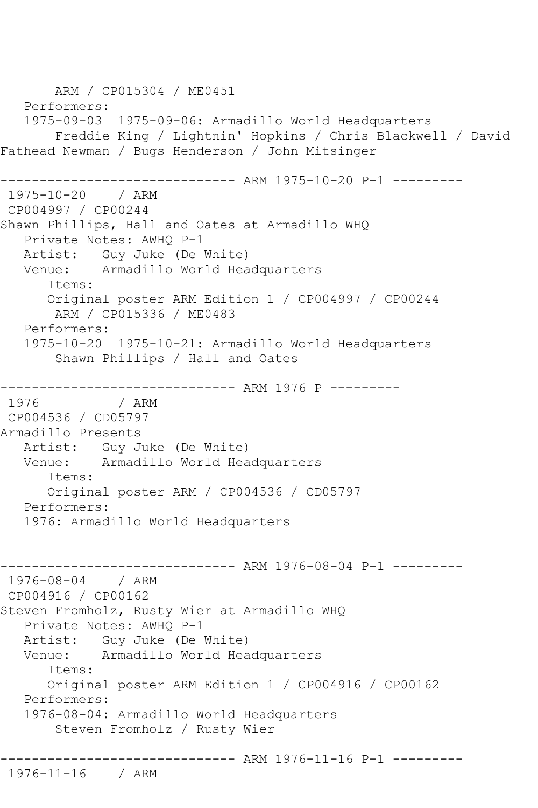ARM / CP015304 / ME0451 Performers: 1975-09-03 1975-09-06: Armadillo World Headquarters Freddie King / Lightnin' Hopkins / Chris Blackwell / David Fathead Newman / Bugs Henderson / John Mitsinger ------------------------------ ARM 1975-10-20 P-1 --------- 1975-10-20 / ARM CP004997 / CP00244 Shawn Phillips, Hall and Oates at Armadillo WHQ Private Notes: AWHQ P-1 Artist: Guy Juke (De White) Venue: Armadillo World Headquarters Items: Original poster ARM Edition 1 / CP004997 / CP00244 ARM / CP015336 / ME0483 Performers: 1975-10-20 1975-10-21: Armadillo World Headquarters Shawn Phillips / Hall and Oates ------------------------------ ARM 1976 P --------- 1976 / ARM CP004536 / CD05797 Armadillo Presents Artist: Guy Juke (De White)<br>Venue: Armadillo World Hea Armadillo World Headquarters Items: Original poster ARM / CP004536 / CD05797 Performers: 1976: Armadillo World Headquarters ------------------------------ ARM 1976-08-04 P-1 --------- 1976-08-04 / ARM CP004916 / CP00162 Steven Fromholz, Rusty Wier at Armadillo WHQ Private Notes: AWHQ P-1 Artist: Guy Juke (De White) Venue: Armadillo World Headquarters Items: Original poster ARM Edition 1 / CP004916 / CP00162 Performers: 1976-08-04: Armadillo World Headquarters Steven Fromholz / Rusty Wier ------------------------------ ARM 1976-11-16 P-1 --------- 1976-11-16 / ARM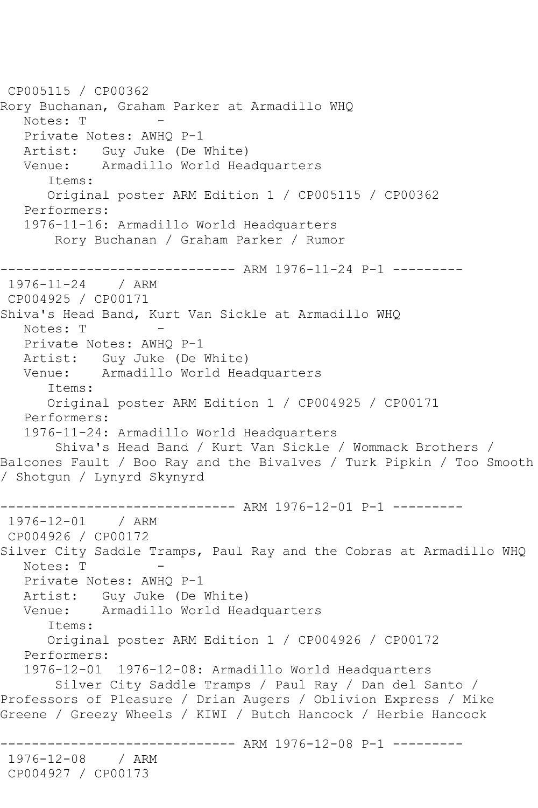```
CP005115 / CP00362
Rory Buchanan, Graham Parker at Armadillo WHQ
  Notes: T
   Private Notes: AWHQ P-1
   Artist: Guy Juke (De White)
   Venue: Armadillo World Headquarters
       Items:
       Original poster ARM Edition 1 / CP005115 / CP00362
   Performers:
   1976-11-16: Armadillo World Headquarters
        Rory Buchanan / Graham Parker / Rumor
                    ------------------------------ ARM 1976-11-24 P-1 ---------
1976-11-24 / ARM 
CP004925 / CP00171
Shiva's Head Band, Kurt Van Sickle at Armadillo WHQ
  Notes: T
   Private Notes: AWHQ P-1
   Artist: Guy Juke (De White)
   Venue: Armadillo World Headquarters
       Items:
       Original poster ARM Edition 1 / CP004925 / CP00171
   Performers:
   1976-11-24: Armadillo World Headquarters
        Shiva's Head Band / Kurt Van Sickle / Wommack Brothers / 
Balcones Fault / Boo Ray and the Bivalves / Turk Pipkin / Too Smooth 
/ Shotgun / Lynyrd Skynyrd
------------------------------ ARM 1976-12-01 P-1 ---------
1976-12-01 / ARM 
CP004926 / CP00172
Silver City Saddle Tramps, Paul Ray and the Cobras at Armadillo WHQ
  Notes: T
   Private Notes: AWHQ P-1
   Artist: Guy Juke (De White)
   Venue: Armadillo World Headquarters
       Items:
      Original poster ARM Edition 1 / CP004926 / CP00172
   Performers:
   1976-12-01 1976-12-08: Armadillo World Headquarters
        Silver City Saddle Tramps / Paul Ray / Dan del Santo / 
Professors of Pleasure / Drian Augers / Oblivion Express / Mike 
Greene / Greezy Wheels / KIWI / Butch Hancock / Herbie Hancock
                    ----------- ARM 1976-12-08 P-1 ----------
1976-12-08 / ARM 
CP004927 / CP00173
```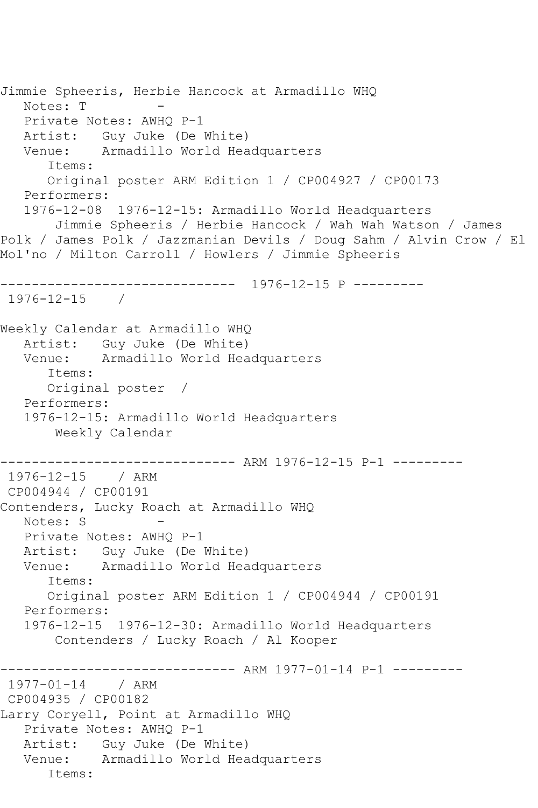```
Jimmie Spheeris, Herbie Hancock at Armadillo WHQ
  Notes: T
   Private Notes: AWHQ P-1
  Artist: Guy Juke (De White)<br>Venue: Armadillo World Hea
            Armadillo World Headquarters
       Items:
      Original poster ARM Edition 1 / CP004927 / CP00173
   Performers:
   1976-12-08 1976-12-15: Armadillo World Headquarters
        Jimmie Spheeris / Herbie Hancock / Wah Wah Watson / James 
Polk / James Polk / Jazzmanian Devils / Doug Sahm / Alvin Crow / El 
Mol'no / Milton Carroll / Howlers / Jimmie Spheeris
   ------------------------------ 1976-12-15 P ---------
1976-12-15 / 
Weekly Calendar at Armadillo WHQ
   Artist: Guy Juke (De White)
   Venue: Armadillo World Headquarters
      Items:
      Original poster / 
   Performers:
   1976-12-15: Armadillo World Headquarters
        Weekly Calendar
------------------------------ ARM 1976-12-15 P-1 ---------
1976-12-15 / ARM 
CP004944 / CP00191
Contenders, Lucky Roach at Armadillo WHQ
  Notes: S
   Private Notes: AWHQ P-1
   Artist: Guy Juke (De White)
   Venue: Armadillo World Headquarters
       Items:
       Original poster ARM Edition 1 / CP004944 / CP00191
   Performers:
   1976-12-15 1976-12-30: Armadillo World Headquarters
        Contenders / Lucky Roach / Al Kooper
------------------------------ ARM 1977-01-14 P-1 ---------
1977-01-14 / ARM 
CP004935 / CP00182
Larry Coryell, Point at Armadillo WHQ
   Private Notes: AWHQ P-1
   Artist: Guy Juke (De White)
   Venue: Armadillo World Headquarters
       Items:
```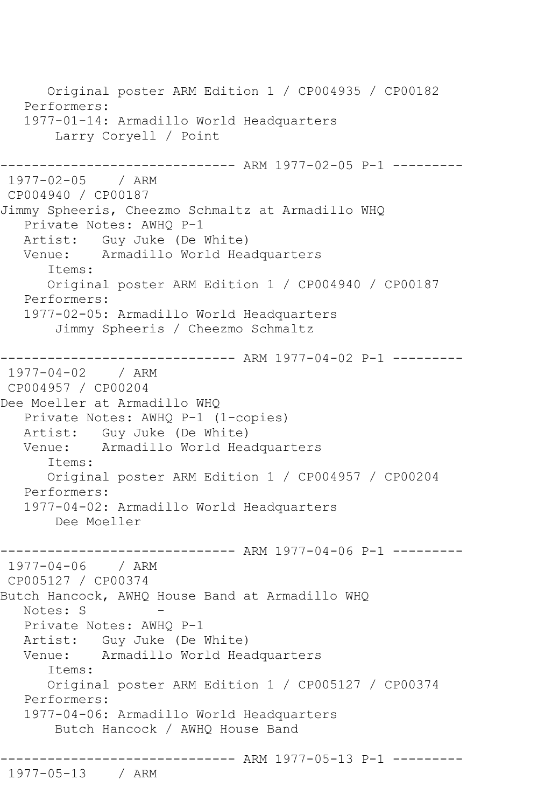Original poster ARM Edition 1 / CP004935 / CP00182 Performers: 1977-01-14: Armadillo World Headquarters Larry Coryell / Point ------------------------------ ARM 1977-02-05 P-1 --------- 1977-02-05 / ARM CP004940 / CP00187 Jimmy Spheeris, Cheezmo Schmaltz at Armadillo WHQ Private Notes: AWHQ P-1 Artist: Guy Juke (De White) Venue: Armadillo World Headquarters Items: Original poster ARM Edition 1 / CP004940 / CP00187 Performers: 1977-02-05: Armadillo World Headquarters Jimmy Spheeris / Cheezmo Schmaltz ------------------------------ ARM 1977-04-02 P-1 --------- 1977-04-02 / ARM CP004957 / CP00204 Dee Moeller at Armadillo WHQ Private Notes: AWHQ P-1 (1-copies) Artist: Guy Juke (De White) Venue: Armadillo World Headquarters Items: Original poster ARM Edition 1 / CP004957 / CP00204 Performers: 1977-04-02: Armadillo World Headquarters Dee Moeller ------------------------------ ARM 1977-04-06 P-1 --------- 1977-04-06 / ARM CP005127 / CP00374 Butch Hancock, AWHQ House Band at Armadillo WHQ Notes: S Private Notes: AWHQ P-1 Artist: Guy Juke (De White) Venue: Armadillo World Headquarters Items: Original poster ARM Edition 1 / CP005127 / CP00374 Performers: 1977-04-06: Armadillo World Headquarters Butch Hancock / AWHQ House Band ------------------------------ ARM 1977-05-13 P-1 --------- 1977-05-13 / ARM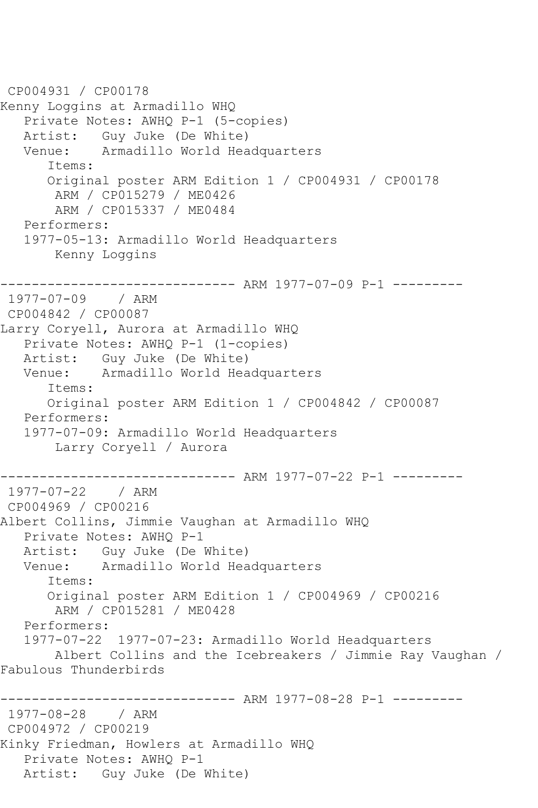```
CP004931 / CP00178
Kenny Loggins at Armadillo WHQ
    Private Notes: AWHQ P-1 (5-copies)
  Artist: Guy Juke (De White)<br>Venue: Armadillo World Hea
            Armadillo World Headquarters
       Items:
       Original poster ARM Edition 1 / CP004931 / CP00178
        ARM / CP015279 / ME0426
        ARM / CP015337 / ME0484
    Performers:
    1977-05-13: Armadillo World Headquarters
        Kenny Loggins
------------------------------ ARM 1977-07-09 P-1 ---------
1977-07-09 / ARM 
CP004842 / CP00087
Larry Coryell, Aurora at Armadillo WHQ
    Private Notes: AWHQ P-1 (1-copies)
  Artist: Guy Juke (De White)<br>Venue: Armadillo World Hea
            Armadillo World Headquarters
       Items:
       Original poster ARM Edition 1 / CP004842 / CP00087
   Performers:
   1977-07-09: Armadillo World Headquarters
        Larry Coryell / Aurora
------------------------------ ARM 1977-07-22 P-1 ---------
1977-07-22 / ARM 
CP004969 / CP00216
Albert Collins, Jimmie Vaughan at Armadillo WHQ
   Private Notes: AWHQ P-1
  Artist: Guy Juke (De White)<br>Venue: Armadillo World Hea
            Armadillo World Headquarters
       Items:
       Original poster ARM Edition 1 / CP004969 / CP00216
        ARM / CP015281 / ME0428
   Performers:
    1977-07-22 1977-07-23: Armadillo World Headquarters
        Albert Collins and the Icebreakers / Jimmie Ray Vaughan / 
Fabulous Thunderbirds
------------------------------ ARM 1977-08-28 P-1 ---------
1977-08-28 / ARM 
CP004972 / CP00219
Kinky Friedman, Howlers at Armadillo WHQ
    Private Notes: AWHQ P-1
   Artist: Guy Juke (De White)
```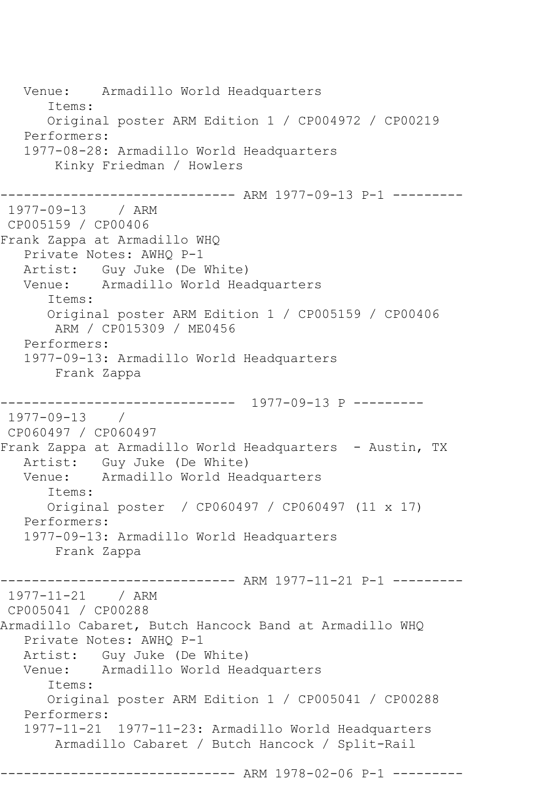Venue: Armadillo World Headquarters Items: Original poster ARM Edition 1 / CP004972 / CP00219 Performers: 1977-08-28: Armadillo World Headquarters Kinky Friedman / Howlers ------------------------------ ARM 1977-09-13 P-1 --------- 1977-09-13 / ARM CP005159 / CP00406 Frank Zappa at Armadillo WHQ Private Notes: AWHQ P-1 Artist: Guy Juke (De White) Venue: Armadillo World Headquarters Items: Original poster ARM Edition 1 / CP005159 / CP00406 ARM / CP015309 / ME0456 Performers: 1977-09-13: Armadillo World Headquarters Frank Zappa ------------------------------ 1977-09-13 P --------- 1977-09-13 / CP060497 / CP060497 Frank Zappa at Armadillo World Headquarters - Austin, TX Artist: Guy Juke (De White) Venue: Armadillo World Headquarters Items: Original poster / CP060497 / CP060497 (11 x 17) Performers: 1977-09-13: Armadillo World Headquarters Frank Zappa ------------------------------ ARM 1977-11-21 P-1 --------- 1977-11-21 / ARM CP005041 / CP00288 Armadillo Cabaret, Butch Hancock Band at Armadillo WHQ Private Notes: AWHQ P-1 Artist: Guy Juke (De White)<br>Venue: Armadillo World Hea Armadillo World Headquarters Items: Original poster ARM Edition 1 / CP005041 / CP00288 Performers: 1977-11-21 1977-11-23: Armadillo World Headquarters Armadillo Cabaret / Butch Hancock / Split-Rail ------------------------------ ARM 1978-02-06 P-1 ---------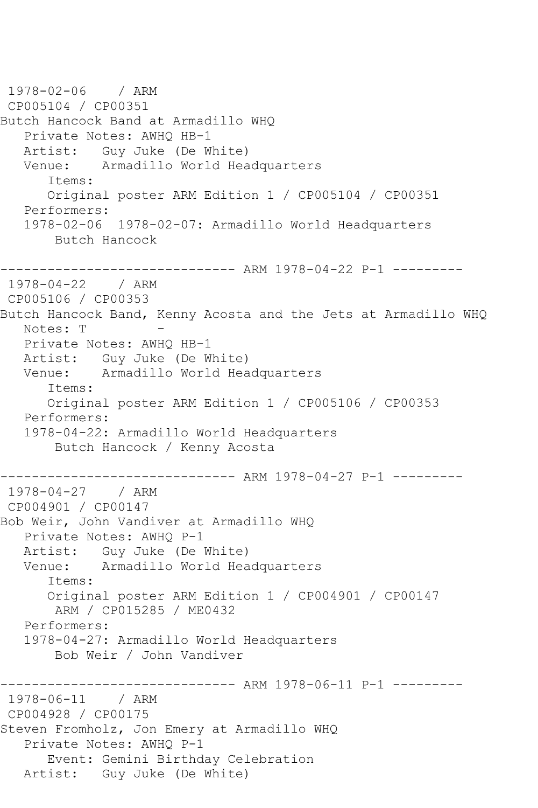1978-02-06 / ARM CP005104 / CP00351 Butch Hancock Band at Armadillo WHQ Private Notes: AWHQ HB-1 Artist: Guy Juke (De White) Venue: Armadillo World Headquarters Items: Original poster ARM Edition 1 / CP005104 / CP00351 Performers: 1978-02-06 1978-02-07: Armadillo World Headquarters Butch Hancock ------------------------------ ARM 1978-04-22 P-1 --------- 1978-04-22 / ARM CP005106 / CP00353 Butch Hancock Band, Kenny Acosta and the Jets at Armadillo WHQ Notes: T Private Notes: AWHQ HB-1 Artist: Guy Juke (De White) Venue: Armadillo World Headquarters Items: Original poster ARM Edition 1 / CP005106 / CP00353 Performers: 1978-04-22: Armadillo World Headquarters Butch Hancock / Kenny Acosta ------------------------------ ARM 1978-04-27 P-1 --------- 1978-04-27 / ARM CP004901 / CP00147 Bob Weir, John Vandiver at Armadillo WHQ Private Notes: AWHQ P-1 Artist: Guy Juke (De White)<br>Venue: Armadillo World Hea Armadillo World Headquarters Items: Original poster ARM Edition 1 / CP004901 / CP00147 ARM / CP015285 / ME0432 Performers: 1978-04-27: Armadillo World Headquarters Bob Weir / John Vandiver ------------------------------ ARM 1978-06-11 P-1 --------- 1978-06-11 / ARM CP004928 / CP00175 Steven Fromholz, Jon Emery at Armadillo WHQ Private Notes: AWHQ P-1 Event: Gemini Birthday Celebration Artist: Guy Juke (De White)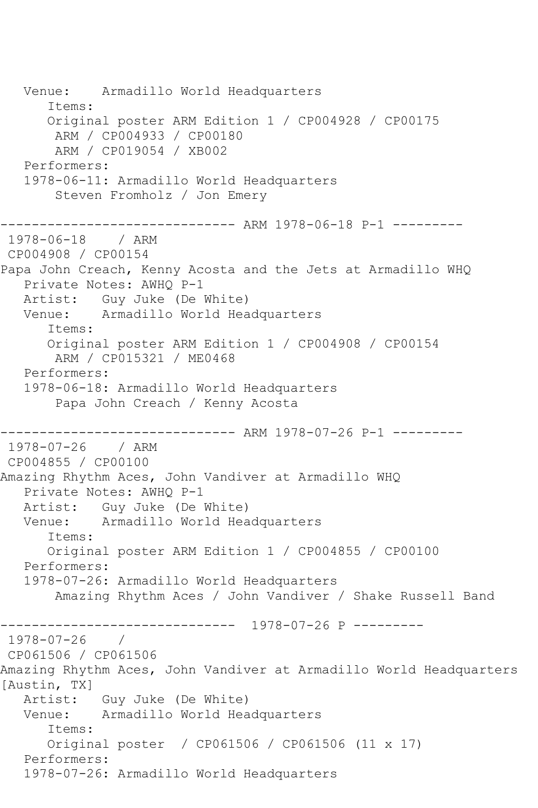Venue: Armadillo World Headquarters Items: Original poster ARM Edition 1 / CP004928 / CP00175 ARM / CP004933 / CP00180 ARM / CP019054 / XB002 Performers: 1978-06-11: Armadillo World Headquarters Steven Fromholz / Jon Emery ------------------------------ ARM 1978-06-18 P-1 --------- 1978-06-18 / ARM CP004908 / CP00154 Papa John Creach, Kenny Acosta and the Jets at Armadillo WHQ Private Notes: AWHQ P-1 Artist: Guy Juke (De White) Venue: Armadillo World Headquarters Items: Original poster ARM Edition 1 / CP004908 / CP00154 ARM / CP015321 / ME0468 Performers: 1978-06-18: Armadillo World Headquarters Papa John Creach / Kenny Acosta ------------------------------ ARM 1978-07-26 P-1 --------- 1978-07-26 / ARM CP004855 / CP00100 Amazing Rhythm Aces, John Vandiver at Armadillo WHQ Private Notes: AWHQ P-1 Artist: Guy Juke (De White) Venue: Armadillo World Headquarters Items: Original poster ARM Edition 1 / CP004855 / CP00100 Performers: 1978-07-26: Armadillo World Headquarters Amazing Rhythm Aces / John Vandiver / Shake Russell Band ------------------------------ 1978-07-26 P --------- 1978-07-26 / CP061506 / CP061506 Amazing Rhythm Aces, John Vandiver at Armadillo World Headquarters [Austin, TX] Artist: Guy Juke (De White) Venue: Armadillo World Headquarters Items: Original poster / CP061506 / CP061506 (11 x 17) Performers: 1978-07-26: Armadillo World Headquarters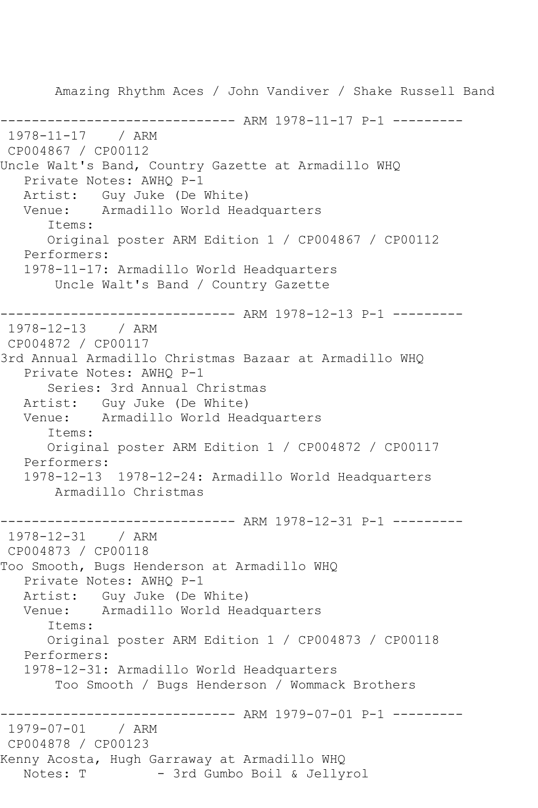Amazing Rhythm Aces / John Vandiver / Shake Russell Band ------------------------------ ARM 1978-11-17 P-1 --------- 1978-11-17 / ARM CP004867 / CP00112 Uncle Walt's Band, Country Gazette at Armadillo WHQ Private Notes: AWHQ P-1 Artist: Guy Juke (De White) Venue: Armadillo World Headquarters Items: Original poster ARM Edition 1 / CP004867 / CP00112 Performers: 1978-11-17: Armadillo World Headquarters Uncle Walt's Band / Country Gazette ------------------------------ ARM 1978-12-13 P-1 --------- 1978-12-13 / ARM CP004872 / CP00117 3rd Annual Armadillo Christmas Bazaar at Armadillo WHQ Private Notes: AWHQ P-1 Series: 3rd Annual Christmas Artist: Guy Juke (De White)<br>Venue: Armadillo World Hea Armadillo World Headquarters Items: Original poster ARM Edition 1 / CP004872 / CP00117 Performers: 1978-12-13 1978-12-24: Armadillo World Headquarters Armadillo Christmas ------------------------------ ARM 1978-12-31 P-1 --------- 1978-12-31 / ARM CP004873 / CP00118 Too Smooth, Bugs Henderson at Armadillo WHQ Private Notes: AWHQ P-1 Artist: Guy Juke (De White)<br>Venue: Armadillo World Hea Armadillo World Headquarters Items: Original poster ARM Edition 1 / CP004873 / CP00118 Performers: 1978-12-31: Armadillo World Headquarters Too Smooth / Bugs Henderson / Wommack Brothers ------------------------------ ARM 1979-07-01 P-1 --------- 1979-07-01 / ARM CP004878 / CP00123 Kenny Acosta, Hugh Garraway at Armadillo WHQ - 3rd Gumbo Boil & Jellyrol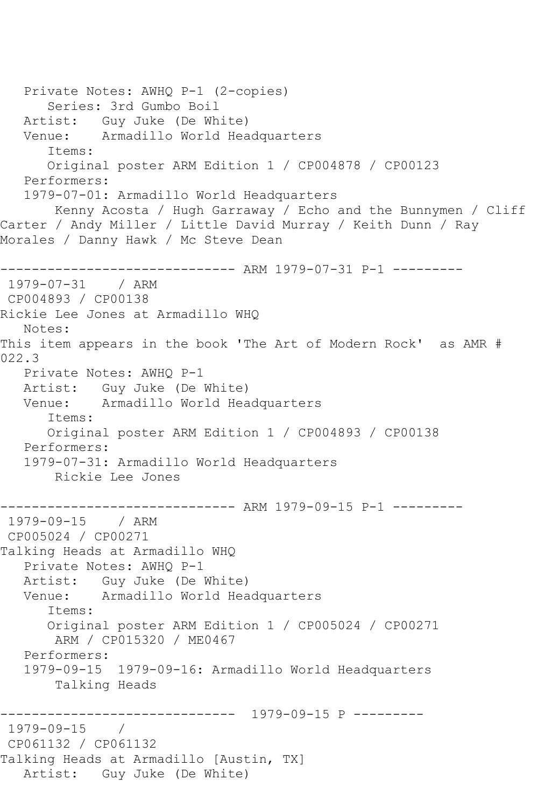```
 Private Notes: AWHQ P-1 (2-copies)
       Series: 3rd Gumbo Boil
  Artist: Guy Juke (De White)<br>Venue: Armadillo World Hea
            Armadillo World Headquarters
       Items:
       Original poster ARM Edition 1 / CP004878 / CP00123
    Performers:
    1979-07-01: Armadillo World Headquarters
        Kenny Acosta / Hugh Garraway / Echo and the Bunnymen / Cliff 
Carter / Andy Miller / Little David Murray / Keith Dunn / Ray 
Morales / Danny Hawk / Mc Steve Dean
------------------------------ ARM 1979-07-31 P-1 ---------
1979-07-31 / ARM 
CP004893 / CP00138
Rickie Lee Jones at Armadillo WHQ
   Notes: 
This item appears in the book 'The Art of Modern Rock' as AMR # 
022.3
   Private Notes: AWHQ P-1
   Artist: Guy Juke (De White)
   Venue: Armadillo World Headquarters
       Items:
       Original poster ARM Edition 1 / CP004893 / CP00138
   Performers:
   1979-07-31: Armadillo World Headquarters
        Rickie Lee Jones
                ------------------------------ ARM 1979-09-15 P-1 ---------
1979-09-15 / ARM 
CP005024 / CP00271
Talking Heads at Armadillo WHQ
   Private Notes: AWHQ P-1
   Artist: Guy Juke (De White)
   Venue: Armadillo World Headquarters
       Items:
       Original poster ARM Edition 1 / CP005024 / CP00271
        ARM / CP015320 / ME0467
   Performers:
    1979-09-15 1979-09-16: Armadillo World Headquarters
        Talking Heads
                  ------------------------------ 1979-09-15 P ---------
1979-09-15 / 
CP061132 / CP061132
Talking Heads at Armadillo [Austin, TX]
   Artist: Guy Juke (De White)
```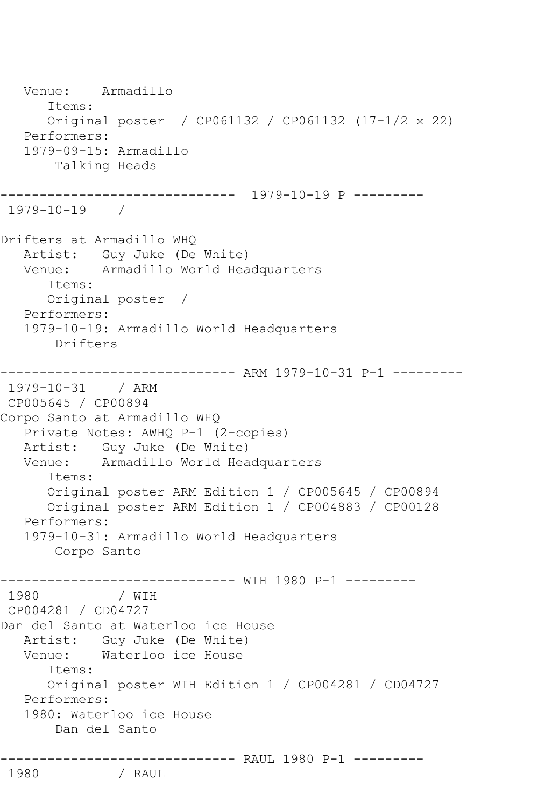Venue: Armadillo Items: Original poster / CP061132 / CP061132 (17-1/2 x 22) Performers: 1979-09-15: Armadillo Talking Heads ------------------------------ 1979-10-19 P --------- 1979-10-19 / Drifters at Armadillo WHQ Artist: Guy Juke (De White)<br>Venue: Armadillo World Hea Armadillo World Headquarters Items: Original poster / Performers: 1979-10-19: Armadillo World Headquarters Drifters ------------------------------ ARM 1979-10-31 P-1 --------- 1979-10-31 / ARM CP005645 / CP00894 Corpo Santo at Armadillo WHQ Private Notes: AWHQ P-1 (2-copies) Artist: Guy Juke (De White) Venue: Armadillo World Headquarters Items: Original poster ARM Edition 1 / CP005645 / CP00894 Original poster ARM Edition 1 / CP004883 / CP00128 Performers: 1979-10-31: Armadillo World Headquarters Corpo Santo ------------------------------ WIH 1980 P-1 --------- 1980 / WIH CP004281 / CD04727 Dan del Santo at Waterloo ice House Artist: Guy Juke (De White) Venue: Waterloo ice House Items: Original poster WIH Edition 1 / CP004281 / CD04727 Performers: 1980: Waterloo ice House Dan del Santo --------------------------------- RAUL 1980 P-1 ----------<br>1980 / RAUL 1980 / RAUL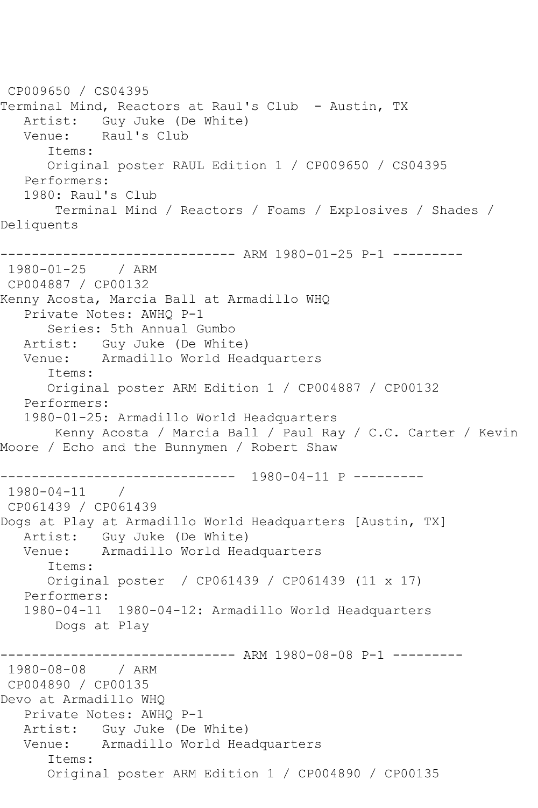CP009650 / CS04395 Terminal Mind, Reactors at Raul's Club - Austin, TX Artist: Guy Juke (De White) Venue: Raul's Club Items: Original poster RAUL Edition 1 / CP009650 / CS04395 Performers: 1980: Raul's Club Terminal Mind / Reactors / Foams / Explosives / Shades / Deliquents ------------------------------ ARM 1980-01-25 P-1 --------- 1980-01-25 / ARM CP004887 / CP00132 Kenny Acosta, Marcia Ball at Armadillo WHQ Private Notes: AWHQ P-1 Series: 5th Annual Gumbo Artist: Guy Juke (De White) Venue: Armadillo World Headquarters Items: Original poster ARM Edition 1 / CP004887 / CP00132 Performers: 1980-01-25: Armadillo World Headquarters Kenny Acosta / Marcia Ball / Paul Ray / C.C. Carter / Kevin Moore / Echo and the Bunnymen / Robert Shaw ------------------------------ 1980-04-11 P --------- 1980-04-11 / CP061439 / CP061439 Dogs at Play at Armadillo World Headquarters [Austin, TX] Artist: Guy Juke (De White) Venue: Armadillo World Headquarters Items: Original poster / CP061439 / CP061439 (11 x 17) Performers: 1980-04-11 1980-04-12: Armadillo World Headquarters Dogs at Play ------------------------------ ARM 1980-08-08 P-1 --------- 1980-08-08 / ARM CP004890 / CP00135 Devo at Armadillo WHQ Private Notes: AWHQ P-1 Artist: Guy Juke (De White) Venue: Armadillo World Headquarters Items: Original poster ARM Edition 1 / CP004890 / CP00135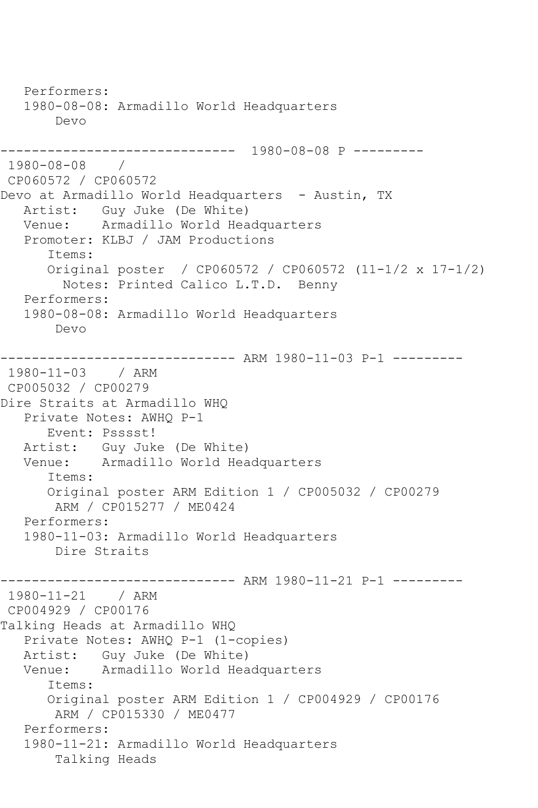Performers: 1980-08-08: Armadillo World Headquarters Devo ------------------------------ 1980-08-08 P --------- 1980-08-08 / CP060572 / CP060572 Devo at Armadillo World Headquarters - Austin, TX Artist: Guy Juke (De White) Venue: Armadillo World Headquarters Promoter: KLBJ / JAM Productions Items: Original poster / CP060572 / CP060572 (11-1/2 x 17-1/2) Notes: Printed Calico L.T.D. Benny Performers: 1980-08-08: Armadillo World Headquarters Devo ------------------------------ ARM 1980-11-03 P-1 --------- 1980-11-03 / ARM CP005032 / CP00279 Dire Straits at Armadillo WHQ Private Notes: AWHQ P-1 Event: Psssst! Artist: Guy Juke (De White) Venue: Armadillo World Headquarters Items: Original poster ARM Edition 1 / CP005032 / CP00279 ARM / CP015277 / ME0424 Performers: 1980-11-03: Armadillo World Headquarters Dire Straits ------------------------------ ARM 1980-11-21 P-1 --------- 1980-11-21 / ARM CP004929 / CP00176 Talking Heads at Armadillo WHQ Private Notes: AWHQ P-1 (1-copies) Artist: Guy Juke (De White) Venue: Armadillo World Headquarters Items: Original poster ARM Edition 1 / CP004929 / CP00176 ARM / CP015330 / ME0477 Performers: 1980-11-21: Armadillo World Headquarters Talking Heads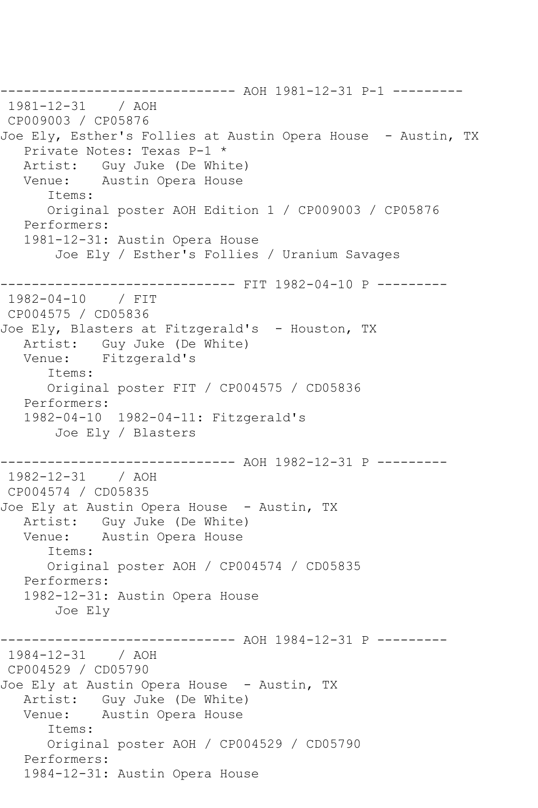------------------------------ AOH 1981-12-31 P-1 --------- 1981-12-31 / AOH CP009003 / CP05876 Joe Ely, Esther's Follies at Austin Opera House - Austin, TX Private Notes: Texas P-1 \* Artist: Guy Juke (De White) Venue: Austin Opera House Items: Original poster AOH Edition 1 / CP009003 / CP05876 Performers: 1981-12-31: Austin Opera House Joe Ely / Esther's Follies / Uranium Savages ------------------------------ FIT 1982-04-10 P --------- 1982-04-10 / FIT CP004575 / CD05836 Joe Ely, Blasters at Fitzgerald's - Houston, TX Artist: Guy Juke (De White) Venue: Fitzgerald's Items: Original poster FIT / CP004575 / CD05836 Performers: 1982-04-10 1982-04-11: Fitzgerald's Joe Ely / Blasters ------------------------------ AOH 1982-12-31 P --------- 1982-12-31 / AOH CP004574 / CD05835 Joe Ely at Austin Opera House - Austin, TX Artist: Guy Juke (De White) Venue: Austin Opera House Items: Original poster AOH / CP004574 / CD05835 Performers: 1982-12-31: Austin Opera House Joe Ely ---------- AOH 1984-12-31 P ---------1984-12-31 / AOH CP004529 / CD05790 Joe Ely at Austin Opera House - Austin, TX Artist: Guy Juke (De White) Venue: Austin Opera House Items: Original poster AOH / CP004529 / CD05790 Performers: 1984-12-31: Austin Opera House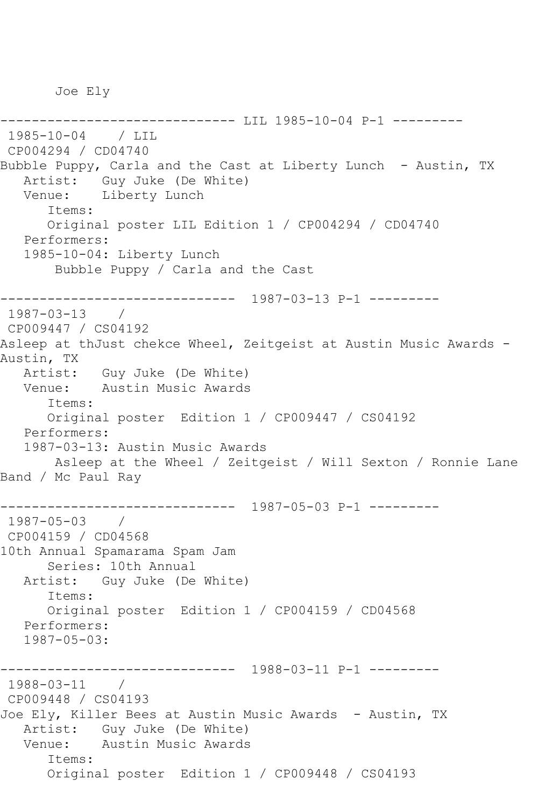Joe Ely

--------------- LIL 1985-10-04 P-1 ---------1985-10-04 / LIL CP004294 / CD04740 Bubble Puppy, Carla and the Cast at Liberty Lunch - Austin, TX Artist: Guy Juke (De White) Venue: Liberty Lunch Items: Original poster LIL Edition 1 / CP004294 / CD04740 Performers: 1985-10-04: Liberty Lunch Bubble Puppy / Carla and the Cast ------------------------------ 1987-03-13 P-1 --------- 1987-03-13 / CP009447 / CS04192 Asleep at thJust chekce Wheel, Zeitgeist at Austin Music Awards - Austin, TX Artist: Guy Juke (De White) Venue: Austin Music Awards Items: Original poster Edition 1 / CP009447 / CS04192 Performers: 1987-03-13: Austin Music Awards Asleep at the Wheel / Zeitgeist / Will Sexton / Ronnie Lane Band / Mc Paul Ray ------------------------------ 1987-05-03 P-1 --------- 1987-05-03 / CP004159 / CD04568 10th Annual Spamarama Spam Jam Series: 10th Annual Artist: Guy Juke (De White) Items: Original poster Edition 1 / CP004159 / CD04568 Performers: 1987-05-03: ------------------------------ 1988-03-11 P-1 --------- 1988-03-11 / CP009448 / CS04193 Joe Ely, Killer Bees at Austin Music Awards - Austin, TX Artist: Guy Juke (De White) Venue: Austin Music Awards Items: Original poster Edition 1 / CP009448 / CS04193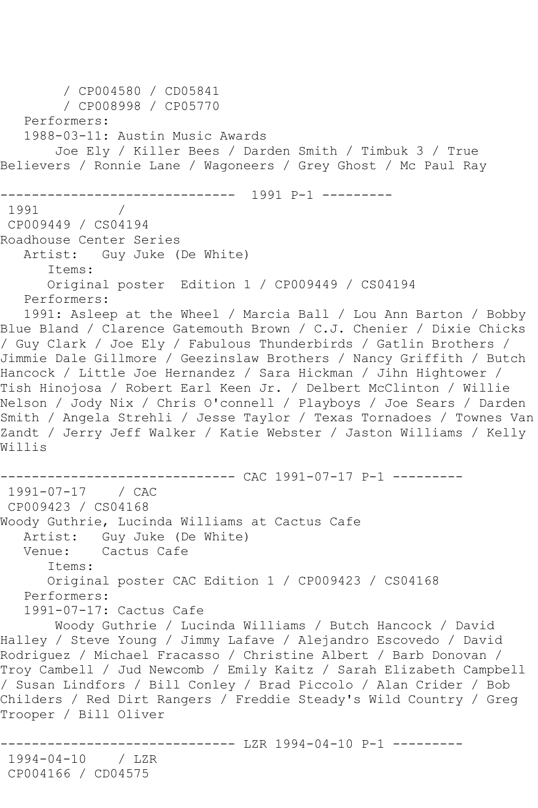```
 / CP004580 / CD05841
         / CP008998 / CP05770
   Performers:
   1988-03-11: Austin Music Awards
        Joe Ely / Killer Bees / Darden Smith / Timbuk 3 / True 
Believers / Ronnie Lane / Wagoneers / Grey Ghost / Mc Paul Ray
------------------------------ 1991 P-1 ---------
1991 / 
CP009449 / CS04194
Roadhouse Center Series
   Artist: Guy Juke (De White)
       Items:
       Original poster Edition 1 / CP009449 / CS04194
   Performers:
   1991: Asleep at the Wheel / Marcia Ball / Lou Ann Barton / Bobby 
Blue Bland / Clarence Gatemouth Brown / C.J. Chenier / Dixie Chicks 
/ Guy Clark / Joe Ely / Fabulous Thunderbirds / Gatlin Brothers / 
Jimmie Dale Gillmore / Geezinslaw Brothers / Nancy Griffith / Butch 
Hancock / Little Joe Hernandez / Sara Hickman / Jihn Hightower / 
Tish Hinojosa / Robert Earl Keen Jr. / Delbert McClinton / Willie 
Nelson / Jody Nix / Chris O'connell / Playboys / Joe Sears / Darden 
Smith / Angela Strehli / Jesse Taylor / Texas Tornadoes / Townes Van 
Zandt / Jerry Jeff Walker / Katie Webster / Jaston Williams / Kelly 
Willis
------------------------------ CAC 1991-07-17 P-1 ---------
1991-07-17 / CAC 
CP009423 / CS04168
Woody Guthrie, Lucinda Williams at Cactus Cafe
  Artist: Guy Juke (De White)<br>Venue: Cactus Cafe
           Cactus Cafe
       Items:
      Original poster CAC Edition 1 / CP009423 / CS04168
   Performers:
   1991-07-17: Cactus Cafe
       Woody Guthrie / Lucinda Williams / Butch Hancock / David 
Halley / Steve Young / Jimmy Lafave / Alejandro Escovedo / David 
Rodriguez / Michael Fracasso / Christine Albert / Barb Donovan / 
Troy Cambell / Jud Newcomb / Emily Kaitz / Sarah Elizabeth Campbell 
/ Susan Lindfors / Bill Conley / Brad Piccolo / Alan Crider / Bob 
Childers / Red Dirt Rangers / Freddie Steady's Wild Country / Greg 
Trooper / Bill Oliver
                   ------------------------------ LZR 1994-04-10 P-1 ---------
1994-04-10 / LZR 
CP004166 / CD04575
```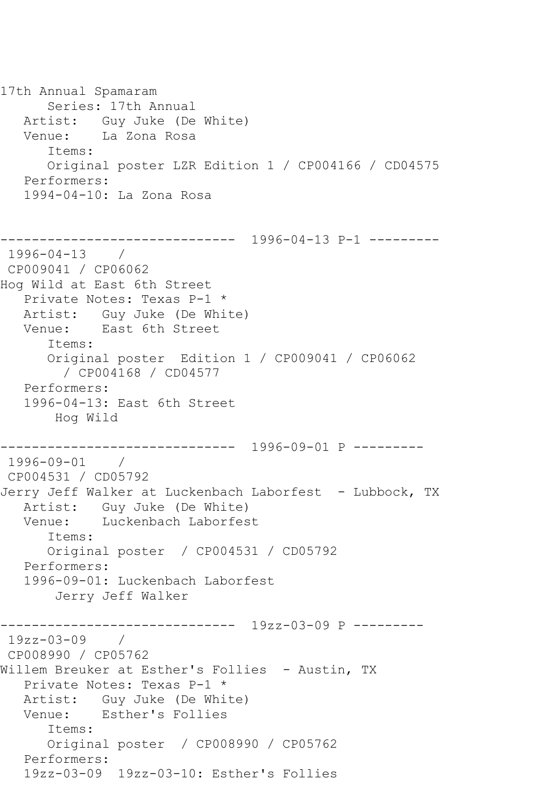17th Annual Spamaram Series: 17th Annual Artist: Guy Juke (De White) Venue: La Zona Rosa Items: Original poster LZR Edition 1 / CP004166 / CD04575 Performers: 1994-04-10: La Zona Rosa ------------------------------ 1996-04-13 P-1 --------- 1996-04-13 / CP009041 / CP06062 Hog Wild at East 6th Street Private Notes: Texas P-1 \* Artist: Guy Juke (De White) Venue: East 6th Street Items: Original poster Edition 1 / CP009041 / CP06062 / CP004168 / CD04577 Performers: 1996-04-13: East 6th Street Hog Wild ------------------------------ 1996-09-01 P --------- 1996-09-01 / CP004531 / CD05792 Jerry Jeff Walker at Luckenbach Laborfest - Lubbock, TX Artist: Guy Juke (De White) Venue: Luckenbach Laborfest Items: Original poster / CP004531 / CD05792 Performers: 1996-09-01: Luckenbach Laborfest Jerry Jeff Walker ------------------------------ 19zz-03-09 P --------- 19zz-03-09 / CP008990 / CP05762 Willem Breuker at Esther's Follies - Austin, TX Private Notes: Texas P-1 \* Artist: Guy Juke (De White) Venue: Esther's Follies Items: Original poster / CP008990 / CP05762 Performers: 19zz-03-09 19zz-03-10: Esther's Follies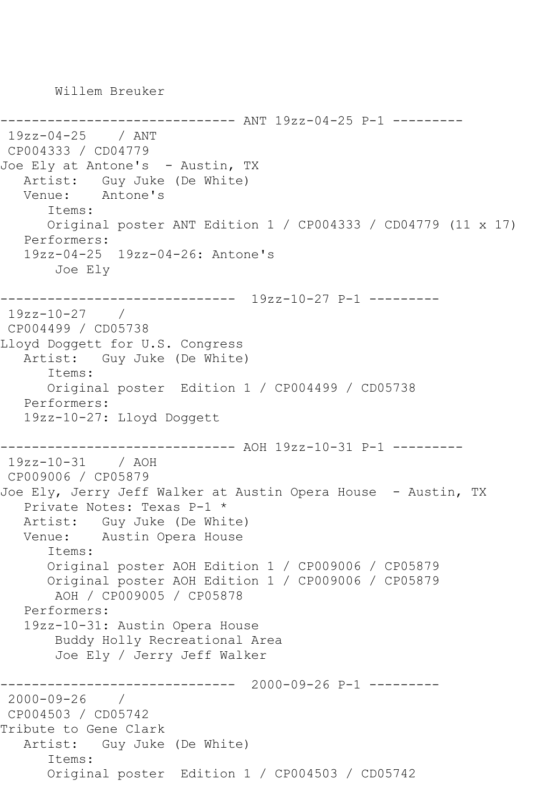Willem Breuker

```
------------------------------ ANT 19zz-04-25 P-1 ---------
19zz-04-25 / ANT 
CP004333 / CD04779
Joe Ely at Antone's - Austin, TX
  Artist: Guy Juke (De White)<br>Venue: Antone's
            Antone's
       Items:
       Original poster ANT Edition 1 / CP004333 / CD04779 (11 x 17)
    Performers:
    19zz-04-25 19zz-04-26: Antone's
        Joe Ely
          ------------------------------ 19zz-10-27 P-1 ---------
19zz-10-27 / 
CP004499 / CD05738
Lloyd Doggett for U.S. Congress
   Artist: Guy Juke (De White)
       Items:
       Original poster Edition 1 / CP004499 / CD05738
    Performers:
    19zz-10-27: Lloyd Doggett
            ------------------------------ AOH 19zz-10-31 P-1 ---------
19zz-10-31 / AOH 
CP009006 / CP05879
Joe Ely, Jerry Jeff Walker at Austin Opera House - Austin, TX
    Private Notes: Texas P-1 *
   Artist: Guy Juke (De White)
   Venue: Austin Opera House
       Items:
       Original poster AOH Edition 1 / CP009006 / CP05879
       Original poster AOH Edition 1 / CP009006 / CP05879
        AOH / CP009005 / CP05878
    Performers:
    19zz-10-31: Austin Opera House
        Buddy Holly Recreational Area
        Joe Ely / Jerry Jeff Walker
                   ------------------------------ 2000-09-26 P-1 ---------
2000-09-26 / 
CP004503 / CD05742
Tribute to Gene Clark
   Artist: Guy Juke (De White)
       Items:
       Original poster Edition 1 / CP004503 / CD05742
```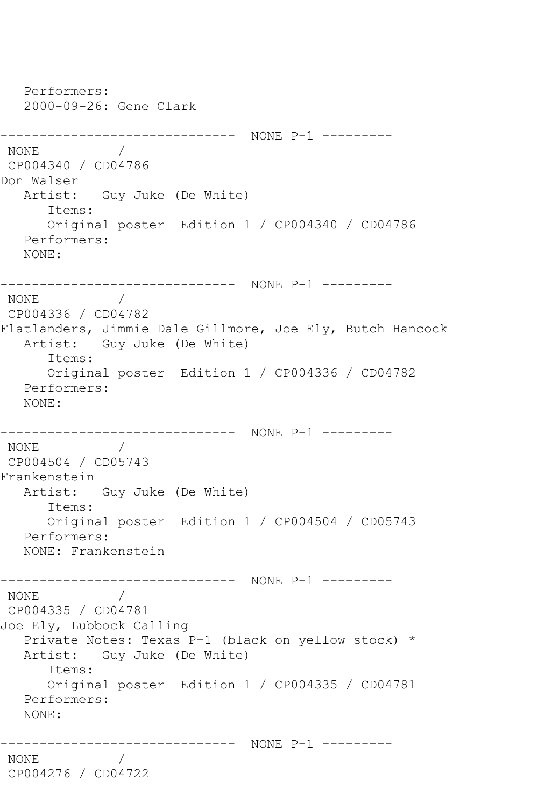Performers: 2000-09-26: Gene Clark ------------------------------ NONE P-1 --------- NONE / CP004340 / CD04786 Don Walser Artist: Guy Juke (De White) Items: Original poster Edition 1 / CP004340 / CD04786 Performers: NONE: ------------------------------ NONE P-1 --------- NONE / CP004336 / CD04782 Flatlanders, Jimmie Dale Gillmore, Joe Ely, Butch Hancock Artist: Guy Juke (De White) Items: Original poster Edition 1 / CP004336 / CD04782 Performers: NONE: ------------------------------ NONE P-1 ---------  $\frac{1}{2}$ CP004504 / CD05743 Frankenstein Artist: Guy Juke (De White) Items: Original poster Edition 1 / CP004504 / CD05743 Performers: NONE: Frankenstein ------------------------------ NONE P-1 --------- NONE / CP004335 / CD04781 Joe Ely, Lubbock Calling Private Notes: Texas P-1 (black on yellow stock) \* Artist: Guy Juke (De White) Items: Original poster Edition 1 / CP004335 / CD04781 Performers: NONE: ------------------------------ NONE P-1 --------- NONE / CP004276 / CD04722